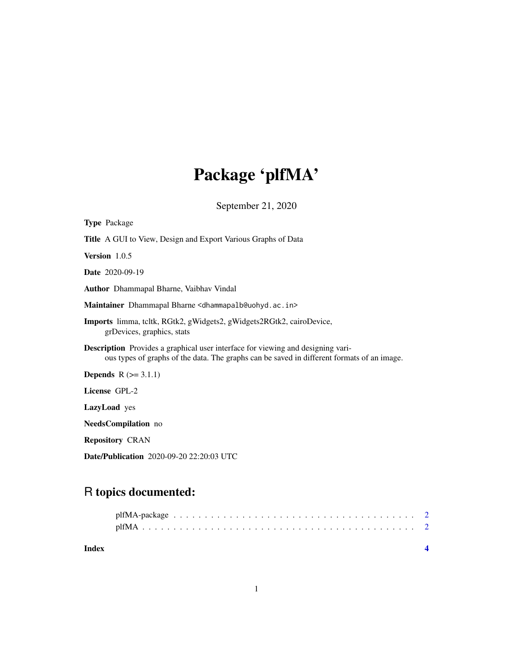# Package 'plfMA'

September 21, 2020

| <b>Type Package</b>                                                                                                                                                                  |
|--------------------------------------------------------------------------------------------------------------------------------------------------------------------------------------|
| <b>Title</b> A GUI to View, Design and Export Various Graphs of Data                                                                                                                 |
| Version 1.0.5                                                                                                                                                                        |
| <b>Date</b> 2020-09-19                                                                                                                                                               |
| <b>Author</b> Dhammapal Bharne, Vaibhav Vindal                                                                                                                                       |
| Maintainer Dhammapal Bharne <dhammapalb@uohyd.ac.in></dhammapalb@uohyd.ac.in>                                                                                                        |
| <b>Imports</b> limma, tcltk, RGtk2, gWidgets2, gWidgets2RGtk2, cairoDevice,<br>grDevices, graphics, stats                                                                            |
| <b>Description</b> Provides a graphical user interface for viewing and designing vari-<br>ous types of graphs of the data. The graphs can be saved in different formats of an image. |
| <b>Depends</b> $R (= 3.1.1)$                                                                                                                                                         |
| License GPL-2                                                                                                                                                                        |
| LazyLoad yes                                                                                                                                                                         |
| <b>NeedsCompilation</b> no                                                                                                                                                           |
| <b>Repository CRAN</b>                                                                                                                                                               |

Date/Publication 2020-09-20 22:20:03 UTC

## R topics documented:

| Index |  |  |  |  |  |  |  |  |  |  |  |  |  |  |  |  |
|-------|--|--|--|--|--|--|--|--|--|--|--|--|--|--|--|--|
|       |  |  |  |  |  |  |  |  |  |  |  |  |  |  |  |  |
|       |  |  |  |  |  |  |  |  |  |  |  |  |  |  |  |  |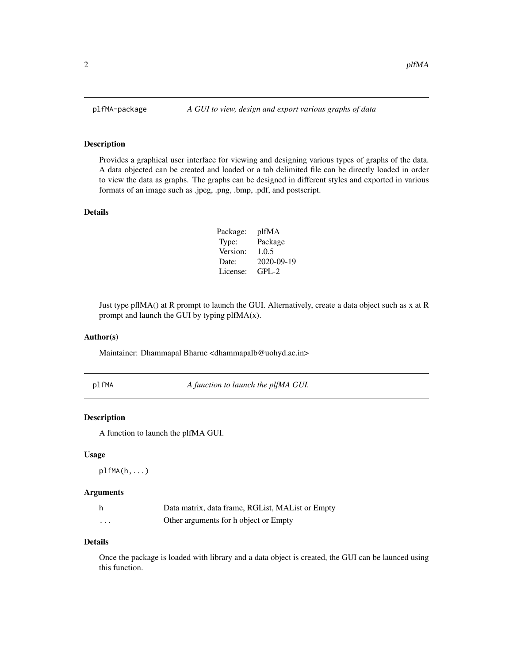#### Description

Provides a graphical user interface for viewing and designing various types of graphs of the data. A data objected can be created and loaded or a tab delimited file can be directly loaded in order to view the data as graphs. The graphs can be designed in different styles and exported in various formats of an image such as .jpeg, .png, .bmp, .pdf, and postscript.

#### Details

| Package: | plfMA      |
|----------|------------|
| Type:    | Package    |
| Version: | 1.0.5      |
| Date:    | 2020-09-19 |
| License: | $GPL-2$    |

Just type pflMA() at R prompt to launch the GUI. Alternatively, create a data object such as x at R prompt and launch the GUI by typing plfMA(x).

#### Author(s)

Maintainer: Dhammapal Bharne <dhammapalb@uohyd.ac.in>

plfMA *A function to launch the plfMA GUI.*

#### Description

A function to launch the plfMA GUI.

#### Usage

plfMA(h,...)

#### Arguments

|   | Data matrix, data frame, RGList, MAList or Empty |
|---|--------------------------------------------------|
| . | Other arguments for h object or Empty            |

#### Details

Once the package is loaded with library and a data object is created, the GUI can be launced using this function.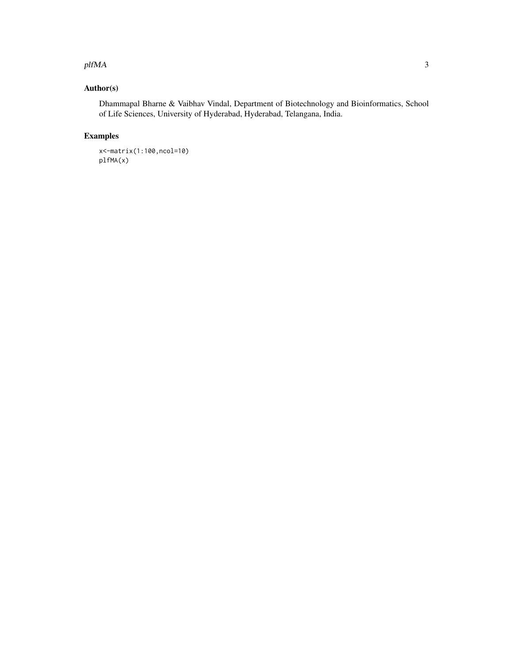#### plfMA 3

### Author(s)

Dhammapal Bharne & Vaibhav Vindal, Department of Biotechnology and Bioinformatics, School of Life Sciences, University of Hyderabad, Hyderabad, Telangana, India.

### Examples

x<-matrix(1:100,ncol=10) plfMA(x)